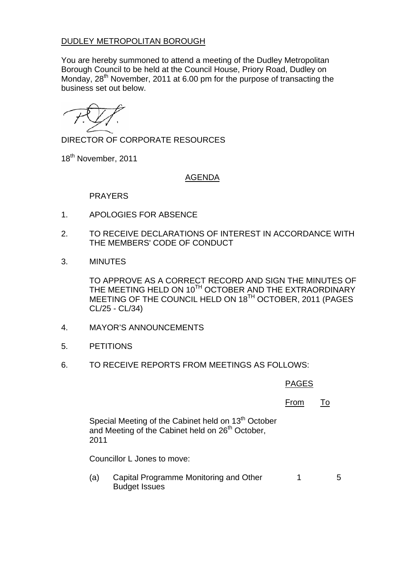## DUDLEY METROPOLITAN BOROUGH

You are hereby summoned to attend a meeting of the Dudley Metropolitan Borough Council to be held at the Council House, Priory Road, Dudley on Monday, 28<sup>th</sup> November, 2011 at 6.00 pm for the purpose of transacting the business set out below.

DIRECTOR OF CORPORATE RESOURCES

18<sup>th</sup> November, 2011

## AGENDA

PRAYERS

- 1. APOLOGIES FOR ABSENCE
- 2. TO RECEIVE DECLARATIONS OF INTEREST IN ACCORDANCE WITH THE MEMBERS' CODE OF CONDUCT
- 3. MINUTES

TO APPROVE AS A CORRECT RECORD AND SIGN THE MINUTES OF THE MEETING HELD ON 10TH OCTOBER AND THE EXTRAORDINARY MEETING OF THE COUNCIL HELD ON 18<sup>TH</sup> OCTOBER, 2011 (PAGES CL/25 - CL/34)

- 4. MAYOR'S ANNOUNCEMENTS
- 5. PETITIONS
- 6. TO RECEIVE REPORTS FROM MEETINGS AS FOLLOWS:

## PAGES

## From To

Special Meeting of the Cabinet held on 13<sup>th</sup> October and Meeting of the Cabinet held on 26<sup>th</sup> October, 2011

Councillor L Jones to move:

(a) Capital Programme Monitoring and Other Budget Issues 1 5